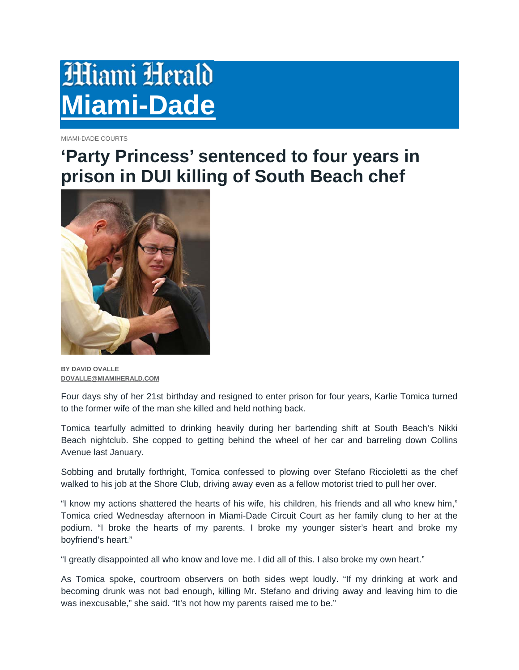## **Hiami Herald Miami-Dade**

MIAMI-DADE COURTS

## **'Party Princess' sentenced to four years in prison in DUI killing of South Beach chef**



**BY DAVID OVALLE DOVALLE@MIAMIHERALD.COM** 

Four days shy of her 21st birthday and resigned to enter prison for four years, Karlie Tomica turned to the former wife of the man she killed and held nothing back.

Tomica tearfully admitted to drinking heavily during her bartending shift at South Beach's Nikki Beach nightclub. She copped to getting behind the wheel of her car and barreling down Collins Avenue last January.

Sobbing and brutally forthright, Tomica confessed to plowing over Stefano Riccioletti as the chef walked to his job at the Shore Club, driving away even as a fellow motorist tried to pull her over.

"I know my actions shattered the hearts of his wife, his children, his friends and all who knew him," Tomica cried Wednesday afternoon in Miami-Dade Circuit Court as her family clung to her at the podium. "I broke the hearts of my parents. I broke my younger sister's heart and broke my boyfriend's heart."

"I greatly disappointed all who know and love me. I did all of this. I also broke my own heart."

As Tomica spoke, courtroom observers on both sides wept loudly. "If my drinking at work and becoming drunk was not bad enough, killing Mr. Stefano and driving away and leaving him to die was inexcusable," she said. "It's not how my parents raised me to be."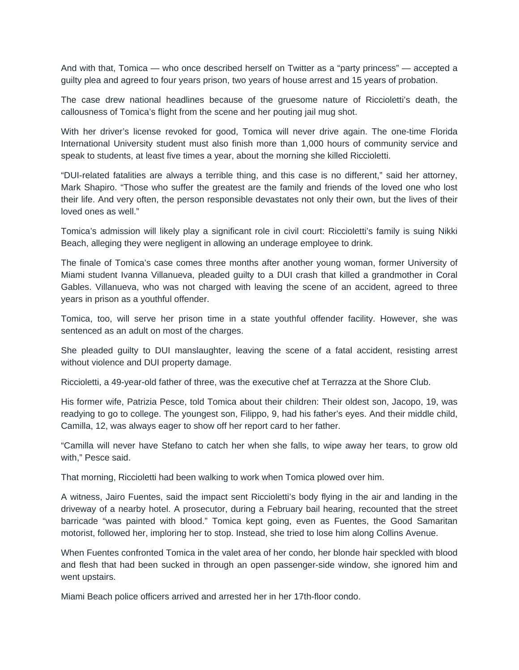And with that, Tomica — who once described herself on Twitter as a "party princess" — accepted a guilty plea and agreed to four years prison, two years of house arrest and 15 years of probation.

The case drew national headlines because of the gruesome nature of Riccioletti's death, the callousness of Tomica's flight from the scene and her pouting jail mug shot.

With her driver's license revoked for good, Tomica will never drive again. The one-time Florida International University student must also finish more than 1,000 hours of community service and speak to students, at least five times a year, about the morning she killed Riccioletti.

"DUI-related fatalities are always a terrible thing, and this case is no different," said her attorney, Mark Shapiro. "Those who suffer the greatest are the family and friends of the loved one who lost their life. And very often, the person responsible devastates not only their own, but the lives of their loved ones as well."

Tomica's admission will likely play a significant role in civil court: Riccioletti's family is suing Nikki Beach, alleging they were negligent in allowing an underage employee to drink.

The finale of Tomica's case comes three months after another young woman, former University of Miami student Ivanna Villanueva, pleaded guilty to a DUI crash that killed a grandmother in Coral Gables. Villanueva, who was not charged with leaving the scene of an accident, agreed to three years in prison as a youthful offender.

Tomica, too, will serve her prison time in a state youthful offender facility. However, she was sentenced as an adult on most of the charges.

She pleaded guilty to DUI manslaughter, leaving the scene of a fatal accident, resisting arrest without violence and DUI property damage.

Riccioletti, a 49-year-old father of three, was the executive chef at Terrazza at the Shore Club.

His former wife, Patrizia Pesce, told Tomica about their children: Their oldest son, Jacopo, 19, was readying to go to college. The youngest son, Filippo, 9, had his father's eyes. And their middle child, Camilla, 12, was always eager to show off her report card to her father.

"Camilla will never have Stefano to catch her when she falls, to wipe away her tears, to grow old with," Pesce said.

That morning, Riccioletti had been walking to work when Tomica plowed over him.

A witness, Jairo Fuentes, said the impact sent Riccioletti's body flying in the air and landing in the driveway of a nearby hotel. A prosecutor, during a February bail hearing, recounted that the street barricade "was painted with blood." Tomica kept going, even as Fuentes, the Good Samaritan motorist, followed her, imploring her to stop. Instead, she tried to lose him along Collins Avenue.

When Fuentes confronted Tomica in the valet area of her condo, her blonde hair speckled with blood and flesh that had been sucked in through an open passenger-side window, she ignored him and went upstairs.

Miami Beach police officers arrived and arrested her in her 17th-floor condo.